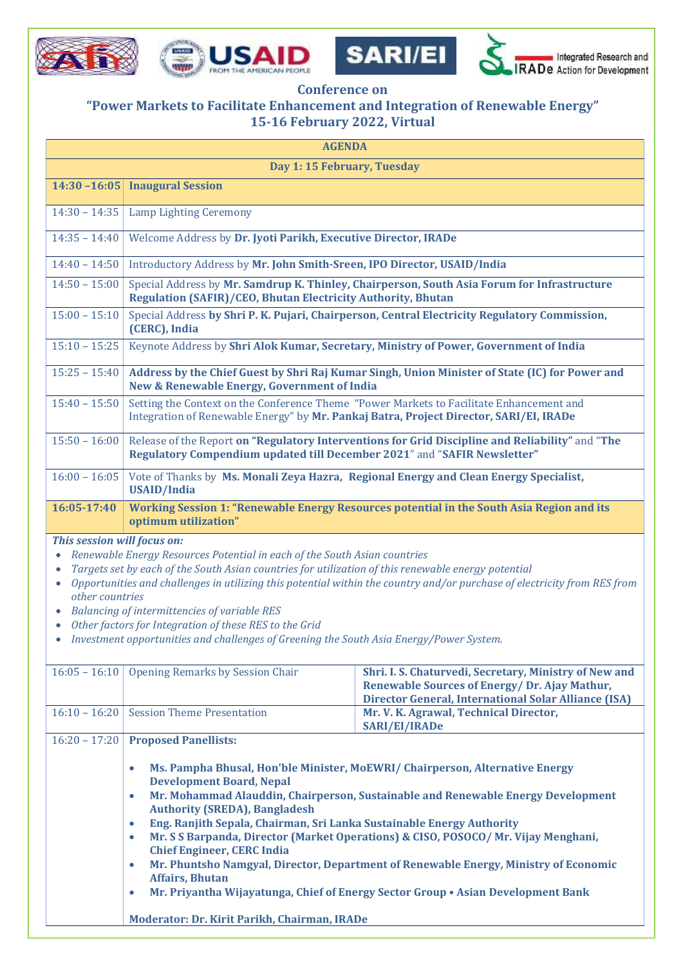







## **Conference on**

## **"Power Markets to Facilitate Enhancement and Integration of Renewable Energy" 15-16 February 2022, Virtual**

| <b>AGENDA</b>                                                                                                                                                                                                                                                                                                                                                                                                                                                                                                                                                                                              |                                                                                                                                                                                                                                                                                                                                                                                                                                                                                                                                                                                                                                                                  |                                                                                                                                                                |  |  |
|------------------------------------------------------------------------------------------------------------------------------------------------------------------------------------------------------------------------------------------------------------------------------------------------------------------------------------------------------------------------------------------------------------------------------------------------------------------------------------------------------------------------------------------------------------------------------------------------------------|------------------------------------------------------------------------------------------------------------------------------------------------------------------------------------------------------------------------------------------------------------------------------------------------------------------------------------------------------------------------------------------------------------------------------------------------------------------------------------------------------------------------------------------------------------------------------------------------------------------------------------------------------------------|----------------------------------------------------------------------------------------------------------------------------------------------------------------|--|--|
| Day 1: 15 February, Tuesday                                                                                                                                                                                                                                                                                                                                                                                                                                                                                                                                                                                |                                                                                                                                                                                                                                                                                                                                                                                                                                                                                                                                                                                                                                                                  |                                                                                                                                                                |  |  |
|                                                                                                                                                                                                                                                                                                                                                                                                                                                                                                                                                                                                            | 14:30 -16:05 Inaugural Session                                                                                                                                                                                                                                                                                                                                                                                                                                                                                                                                                                                                                                   |                                                                                                                                                                |  |  |
| $14:30 - 14:35$                                                                                                                                                                                                                                                                                                                                                                                                                                                                                                                                                                                            | <b>Lamp Lighting Ceremony</b>                                                                                                                                                                                                                                                                                                                                                                                                                                                                                                                                                                                                                                    |                                                                                                                                                                |  |  |
| $14:35 - 14:40$                                                                                                                                                                                                                                                                                                                                                                                                                                                                                                                                                                                            | Welcome Address by Dr. Jyoti Parikh, Executive Director, IRADe                                                                                                                                                                                                                                                                                                                                                                                                                                                                                                                                                                                                   |                                                                                                                                                                |  |  |
| $14:40 - 14:50$                                                                                                                                                                                                                                                                                                                                                                                                                                                                                                                                                                                            | Introductory Address by Mr. John Smith-Sreen, IPO Director, USAID/India                                                                                                                                                                                                                                                                                                                                                                                                                                                                                                                                                                                          |                                                                                                                                                                |  |  |
| $14:50 - 15:00$                                                                                                                                                                                                                                                                                                                                                                                                                                                                                                                                                                                            | Special Address by Mr. Samdrup K. Thinley, Chairperson, South Asia Forum for Infrastructure<br><b>Regulation (SAFIR)/CEO, Bhutan Electricity Authority, Bhutan</b>                                                                                                                                                                                                                                                                                                                                                                                                                                                                                               |                                                                                                                                                                |  |  |
| $15:00 - 15:10$                                                                                                                                                                                                                                                                                                                                                                                                                                                                                                                                                                                            | Special Address by Shri P. K. Pujari, Chairperson, Central Electricity Regulatory Commission,<br>(CERC), India                                                                                                                                                                                                                                                                                                                                                                                                                                                                                                                                                   |                                                                                                                                                                |  |  |
| $15:10 - 15:25$                                                                                                                                                                                                                                                                                                                                                                                                                                                                                                                                                                                            | Keynote Address by Shri Alok Kumar, Secretary, Ministry of Power, Government of India                                                                                                                                                                                                                                                                                                                                                                                                                                                                                                                                                                            |                                                                                                                                                                |  |  |
| $15:25 - 15:40$                                                                                                                                                                                                                                                                                                                                                                                                                                                                                                                                                                                            | Address by the Chief Guest by Shri Raj Kumar Singh, Union Minister of State (IC) for Power and<br><b>New &amp; Renewable Energy, Government of India</b>                                                                                                                                                                                                                                                                                                                                                                                                                                                                                                         |                                                                                                                                                                |  |  |
| $15:40 - 15:50$                                                                                                                                                                                                                                                                                                                                                                                                                                                                                                                                                                                            | Setting the Context on the Conference Theme "Power Markets to Facilitate Enhancement and<br>Integration of Renewable Energy" by Mr. Pankaj Batra, Project Director, SARI/EI, IRADe                                                                                                                                                                                                                                                                                                                                                                                                                                                                               |                                                                                                                                                                |  |  |
| $15:50 - 16:00$                                                                                                                                                                                                                                                                                                                                                                                                                                                                                                                                                                                            | Release of the Report on "Regulatory Interventions for Grid Discipline and Reliability" and "The<br>Regulatory Compendium updated till December 2021" and "SAFIR Newsletter"                                                                                                                                                                                                                                                                                                                                                                                                                                                                                     |                                                                                                                                                                |  |  |
| $16:00 - 16:05$                                                                                                                                                                                                                                                                                                                                                                                                                                                                                                                                                                                            | Vote of Thanks by Ms. Monali Zeya Hazra, Regional Energy and Clean Energy Specialist,<br><b>USAID/India</b>                                                                                                                                                                                                                                                                                                                                                                                                                                                                                                                                                      |                                                                                                                                                                |  |  |
| 16:05-17:40                                                                                                                                                                                                                                                                                                                                                                                                                                                                                                                                                                                                | Working Session 1: "Renewable Energy Resources potential in the South Asia Region and its<br>optimum utilization"                                                                                                                                                                                                                                                                                                                                                                                                                                                                                                                                                |                                                                                                                                                                |  |  |
| This session will focus on:<br>Renewable Energy Resources Potential in each of the South Asian countries<br>$\bullet$<br>Targets set by each of the South Asian countries for utilization of this renewable energy potential<br>$\bullet$<br>Opportunities and challenges in utilizing this potential within the country and/or purchase of electricity from RES from<br>$\bullet$<br>other countries<br>Balancing of intermittencies of variable RES<br>Other factors for Integration of these RES to the Grid<br>Investment opportunities and challenges of Greening the South Asia Energy/Power System. |                                                                                                                                                                                                                                                                                                                                                                                                                                                                                                                                                                                                                                                                  |                                                                                                                                                                |  |  |
| $16:05 - 16:10$                                                                                                                                                                                                                                                                                                                                                                                                                                                                                                                                                                                            | <b>Opening Remarks by Session Chair</b>                                                                                                                                                                                                                                                                                                                                                                                                                                                                                                                                                                                                                          | Shri. I. S. Chaturvedi, Secretary, Ministry of New and<br>Renewable Sources of Energy/Dr. Ajay Mathur,<br>Director General, International Solar Alliance (ISA) |  |  |
| $16:10 - 16:20$                                                                                                                                                                                                                                                                                                                                                                                                                                                                                                                                                                                            | <b>Session Theme Presentation</b>                                                                                                                                                                                                                                                                                                                                                                                                                                                                                                                                                                                                                                | Mr. V. K. Agrawal, Technical Director,<br><b>SARI/EI/IRADe</b>                                                                                                 |  |  |
| $16:20 - 17:20$                                                                                                                                                                                                                                                                                                                                                                                                                                                                                                                                                                                            | <b>Proposed Panellists:</b><br>Ms. Pampha Bhusal, Hon'ble Minister, MoEWRI/ Chairperson, Alternative Energy<br>$\bullet$<br><b>Development Board, Nepal</b><br>Mr. Mohammad Alauddin, Chairperson, Sustainable and Renewable Energy Development<br>$\bullet$<br><b>Authority (SREDA), Bangladesh</b><br>Eng. Ranjith Sepala, Chairman, Sri Lanka Sustainable Energy Authority<br>$\bullet$<br>Mr. S S Barpanda, Director (Market Operations) & CISO, POSOCO/Mr. Vijay Menghani,<br>$\bullet$<br><b>Chief Engineer, CERC India</b><br>Mr. Phuntsho Namgyal, Director, Department of Renewable Energy, Ministry of Economic<br>$\bullet$<br><b>Affairs, Bhutan</b> |                                                                                                                                                                |  |  |

**Mr. Priyantha Wijayatunga, Chief of Energy Sector Group • Asian Development Bank**

**Moderator: Dr. Kirit Parikh, Chairman, IRADe**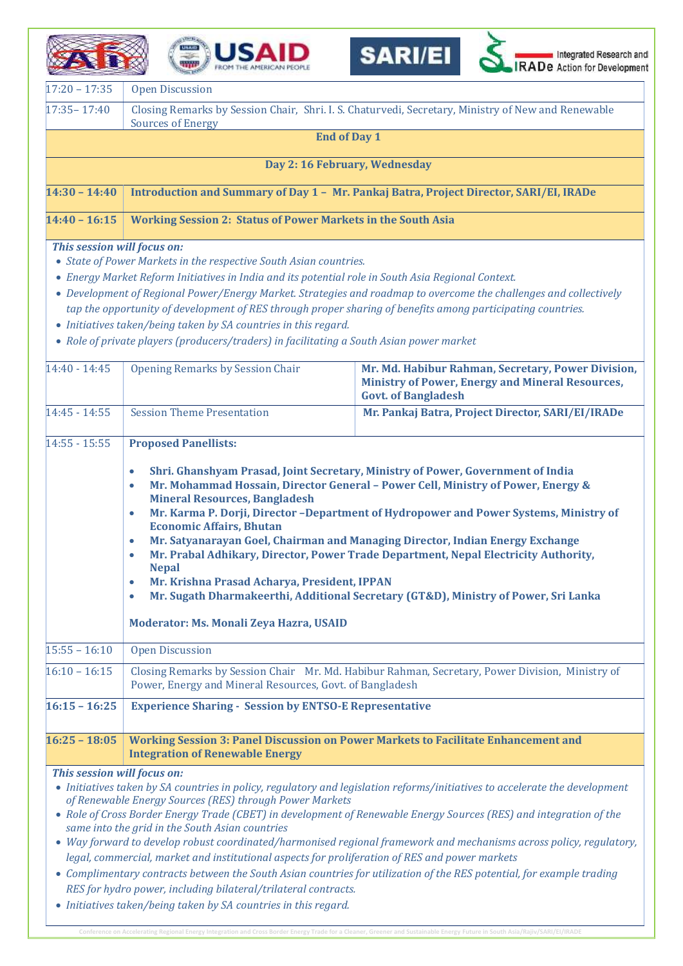|                 | ISAID<br><b>SARIEL</b><br>Integrated Research and<br>RADe Action for Development<br>FROM THE AMERICAN PEOPLE                   |  |
|-----------------|--------------------------------------------------------------------------------------------------------------------------------|--|
| $17:20 - 17:35$ | <b>Open Discussion</b>                                                                                                         |  |
| $17:35 - 17:40$ | Closing Remarks by Session Chair, Shri. I. S. Chaturvedi, Secretary, Ministry of New and Renewable<br><b>Sources of Energy</b> |  |

**End of Day 1**

**Day 2: 16 February, Wednesday**

|  | 14:30 – 14:40   Introduction and Summary of Day 1 –  Mr. Pankaj Batra, Project Director, SARI/EI, IRADe |
|--|---------------------------------------------------------------------------------------------------------|
|--|---------------------------------------------------------------------------------------------------------|

## **14:40 – 16:15 Working Session 2: Status of Power Markets in the South Asia**

## *This session will focus on:*

- *State of Power Markets in the respective South Asian countries.*
- *Energy Market Reform Initiatives in India and its potential role in South Asia Regional Context.*
- *Development of Regional Power/Energy Market. Strategies and roadmap to overcome the challenges and collectively tap the opportunity of development of RES through proper sharing of benefits among participating countries.*
- *Initiatives taken/being taken by SA countries in this regard.*
- *Role of private players (producers/traders) in facilitating a South Asian power market*

| 14:40 - 14:45               | <b>Opening Remarks by Session Chair</b>                                                                                                                                                                                                                                                                                                                                                                                                                                                                                                                                                                                                                                                                                                                                                                                        | Mr. Md. Habibur Rahman, Secretary, Power Division,<br><b>Ministry of Power, Energy and Mineral Resources,</b><br><b>Govt. of Bangladesh</b>                                                                                                                                                                                                                                                                                                                                                       |  |
|-----------------------------|--------------------------------------------------------------------------------------------------------------------------------------------------------------------------------------------------------------------------------------------------------------------------------------------------------------------------------------------------------------------------------------------------------------------------------------------------------------------------------------------------------------------------------------------------------------------------------------------------------------------------------------------------------------------------------------------------------------------------------------------------------------------------------------------------------------------------------|---------------------------------------------------------------------------------------------------------------------------------------------------------------------------------------------------------------------------------------------------------------------------------------------------------------------------------------------------------------------------------------------------------------------------------------------------------------------------------------------------|--|
| $14:45 - 14:55$             | <b>Session Theme Presentation</b>                                                                                                                                                                                                                                                                                                                                                                                                                                                                                                                                                                                                                                                                                                                                                                                              | Mr. Pankaj Batra, Project Director, SARI/EI/IRADe                                                                                                                                                                                                                                                                                                                                                                                                                                                 |  |
| $14:55 - 15:55$             | <b>Proposed Panellists:</b><br>Shri. Ghanshyam Prasad, Joint Secretary, Ministry of Power, Government of India<br>$\bullet$<br>Mr. Mohammad Hossain, Director General - Power Cell, Ministry of Power, Energy &<br><b>Mineral Resources, Bangladesh</b><br>Mr. Karma P. Dorji, Director -Department of Hydropower and Power Systems, Ministry of<br>$\bullet$<br><b>Economic Affairs, Bhutan</b><br>Mr. Satyanarayan Goel, Chairman and Managing Director, Indian Energy Exchange<br>$\bullet$<br>Mr. Prabal Adhikary, Director, Power Trade Department, Nepal Electricity Authority,<br>$\bullet$<br><b>Nepal</b><br>Mr. Krishna Prasad Acharya, President, IPPAN<br>$\bullet$<br>Mr. Sugath Dharmakeerthi, Additional Secretary (GT&D), Ministry of Power, Sri Lanka<br>$\bullet$<br>Moderator: Ms. Monali Zeya Hazra, USAID |                                                                                                                                                                                                                                                                                                                                                                                                                                                                                                   |  |
| $15:55 - 16:10$             | <b>Open Discussion</b>                                                                                                                                                                                                                                                                                                                                                                                                                                                                                                                                                                                                                                                                                                                                                                                                         |                                                                                                                                                                                                                                                                                                                                                                                                                                                                                                   |  |
| $16:10 - 16:15$             | Closing Remarks by Session Chair Mr. Md. Habibur Rahman, Secretary, Power Division, Ministry of<br>Power, Energy and Mineral Resources, Govt. of Bangladesh                                                                                                                                                                                                                                                                                                                                                                                                                                                                                                                                                                                                                                                                    |                                                                                                                                                                                                                                                                                                                                                                                                                                                                                                   |  |
| $16:15 - 16:25$             | <b>Experience Sharing - Session by ENTSO-E Representative</b>                                                                                                                                                                                                                                                                                                                                                                                                                                                                                                                                                                                                                                                                                                                                                                  |                                                                                                                                                                                                                                                                                                                                                                                                                                                                                                   |  |
| $16:25 - 18:05$             | <b>Working Session 3: Panel Discussion on Power Markets to Facilitate Enhancement and</b><br><b>Integration of Renewable Energy</b>                                                                                                                                                                                                                                                                                                                                                                                                                                                                                                                                                                                                                                                                                            |                                                                                                                                                                                                                                                                                                                                                                                                                                                                                                   |  |
| This session will focus on: | of Renewable Energy Sources (RES) through Power Markets<br>same into the grid in the South Asian countries<br>legal, commercial, market and institutional aspects for proliferation of RES and power markets<br>RES for hydro power, including bilateral/trilateral contracts.<br>• Initiatives taken/being taken by SA countries in this regard.                                                                                                                                                                                                                                                                                                                                                                                                                                                                              | • Initiatives taken by SA countries in policy, regulatory and legislation reforms/initiatives to accelerate the development<br>• Role of Cross Border Energy Trade (CBET) in development of Renewable Energy Sources (RES) and integration of the<br>• Way forward to develop robust coordinated/harmonised regional framework and mechanisms across policy, regulatory,<br>• Complimentary contracts between the South Asian countries for utilization of the RES potential, for example trading |  |